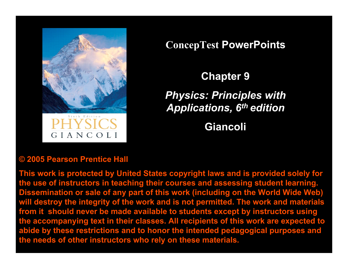

**ConcepTest PowerPoints**

**Chapter 9**

*Physics: Principles with Applications, 6th edition*

**Giancoli**

#### **© 2005 Pearson Prentice Hall**

**This work is protected by United States copyright laws and is provided solely for the use of instructors in teaching their courses and assessing student learning. Dissemination or sale of any part of this work (including on the World Wide Web) will destroy the integrity of the work and is not permitted. The work and materials from it should never be made available to students except by instructors using the accompanying text in their classes. All recipients of this work are expected to abide by these restrictions and to honor the intended pedagogical purposes and the needs of other instructors who rely on these materials.**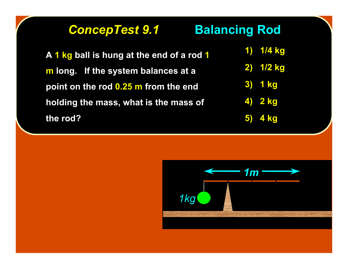# *ConcepTest 9.1 ConcepTest 9.1* **Balancing Rod Balancing Rod**

**A 1 kg ball is hung at the end of a rod 1 m long. If the system balances at a point on the rod 0.25 m from the end holding the mass, what is the mass of the rod?**

**1) 1/4 kg 2) 1/2 kg 3) 1 kg 4) 2 kg 5) 4 kg**

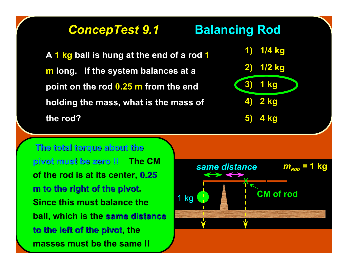### *ConcepTest 9.1 ConcepTest 9.1* **Balancing Rod Balancing Rod**

**A 1 kg ball is hung at the end of a rod 1 m long. If the system balances at a point on the rod 0.25 m from the end holding the mass, what is the mass of the rod?**



 **The total torque about the The total torque about the pivot must be zero !! pivot must be zero !! The CM of the rod is at its center, 0.25 m to the right of the pivot. Since this must balance the ball, which is the same distance same distance to the left of the pivot, the masses must be the same !!**

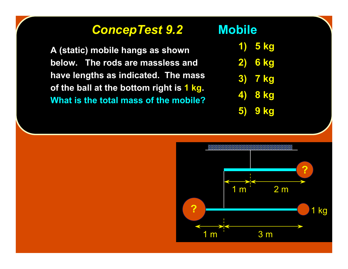## *ConcepTest 9.2 ConcepTest 9.2* **Mobile**

**A (static) mobile hangs as shown below. The rods are massless and have lengths as indicated. The mass of the ball at the bottom right is 1 kg. What is the total mass of the mobile?**

- **1) 5 kg**
- **2) 6 kg**
- **3) 7 kg**
- **4) 8 kg**
- **5) 9 kg**

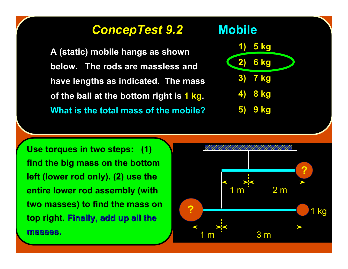### *ConcepTest 9.2 ConcepTest 9.2* **Mobile**

**A (static) mobile hangs as shown below. The rods are massless and have lengths as indicated. The mass of the ball at the bottom right is 1 kg. What is the total mass of the mobile?**



**Use torques in two steps: (1) find the big mass on the bottom left (lower rod only). (2) use the entire lower rod assembly (with two masses) to find the mass on top right. Finally, add up all the Finally, add up all the masses. masses.**

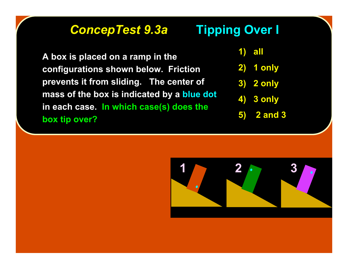# *ConcepTest 9.3a ConcepTest 9.3a* **Tipping Over I Tipping Over I**

**A box is placed on a ramp in the configurations shown below. Friction prevents it from sliding. The center of mass of the box is indicated by a blue dot in each case. In which case(s) does the box tip over?**

**1) all**

- **2) 1 only**
- **3) 2 only**
- **4) 3 only**
- **5) 2 and 3**

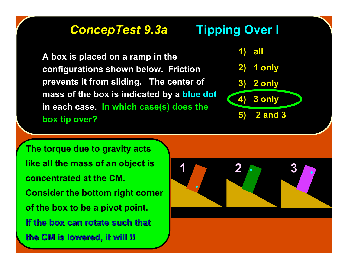# *ConcepTest 9.3a ConcepTest 9.3a* **Tipping Over I Tipping Over I**

**A box is placed on a ramp in the configurations shown below. Friction prevents it from sliding. The center of mass of the box is indicated by a blue dot in each case. In which case(s) does the box tip over?**



**The torque due to gravity acts like all the mass of an object is concentrated at the CM. Consider the bottom right corner of the box to be a pivot point. If the box can rotate such that If the box can rotate such that the CM is lowered, it will !! the CM is lowered, it will !!**

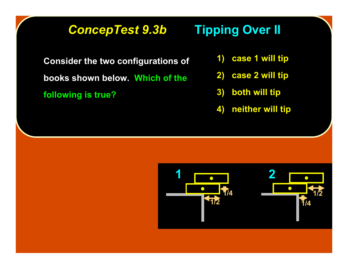# **ConcepTest 9.3b Tipping Over II**

**Consider the two configurations of books shown below. Which of the following is true?**

- **1) case 1 will tip**
- **2) case 2 will tip**
- **3) both will tip**
- **4) neither will tip**